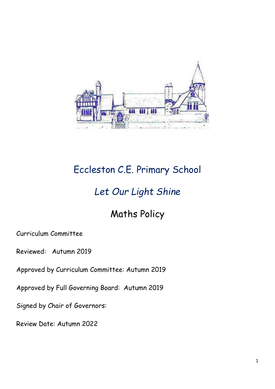

# Eccleston C.E. Primary School

# *Let Our Light Shine*

## Maths Policy

Curriculum Committee

Reviewed: Autumn 2019

Approved by Curriculum Committee: Autumn 2019

Approved by Full Governing Board: Autumn 2019

Signed by Chair of Governors:

Review Date: Autumn 2022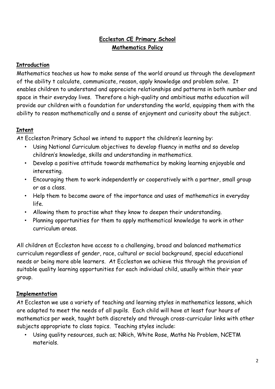## **Eccleston CE Primary School Mathematics Policy**

## **Introduction**

Mathematics teaches us how to make sense of the world around us through the development of the ability t calculate, communicate, reason, apply knowledge and problem solve. It enables children to understand and appreciate relationships and patterns in both number and space in their everyday lives. Therefore a high-quality and ambitious maths education will provide our children with a foundation for understanding the world, equipping them with the ability to reason mathematically and a sense of enjoyment and curiosity about the subject.

## **Intent**

At Eccleston Primary School we intend to support the children's learning by:

- Using National Curriculum objectives to develop fluency in maths and so develop children's knowledge, skills and understanding in mathematics.
- Develop a positive attitude towards mathematics by making learning enjoyable and interesting.
- Encouraging them to work independently or cooperatively with a partner, small group or as a class.
- Help them to become aware of the importance and uses of mathematics in everyday life.
- Allowing them to practise what they know to deepen their understanding.
- Planning opportunities for them to apply mathematical knowledge to work in other curriculum areas.

All children at Eccleston have access to a challenging, broad and balanced mathematics curriculum regardless of gender, race, cultural or social background, special educational needs or being more able learners. At Eccleston we achieve this through the provision of suitable quality learning opportunities for each individual child, usually within their year group.

## **Implementation**

At Eccleston we use a variety of teaching and learning styles in mathematics lessons, which are adapted to meet the needs of all pupils. Each child will have at least four hours of mathematics per week, taught both discretely and through cross-curricular links with other subjects appropriate to class topics. Teaching styles include:

• Using quality resources, such as; NRich, White Rose, Maths No Problem, NCETM materials.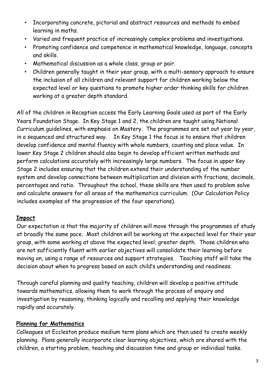- Incorporating concrete, pictorial and abstract resources and methods to embed learning in maths.
- Varied and frequent practice of increasingly complex problems and investigations.
- Promoting confidence and competence in mathematical knowledge, language, concepts and skills.
- Mathematical discussion as a whole class, group or pair.
- Children generally taught in their year group, with a multi-sensory approach to ensure the inclusion of all children and relevant support for children working below the expected level or key questions to promote higher order thinking skills for children working at a greater depth standard.

All of the children in Reception access the Early Learning Goals used as part of the Early Years Foundation Stage. In Key Stage 1 and 2, the children are taught using National Curriculum guidelines, with emphasis on Mastery. The programmes are set out year by year, in a sequenced and structured way. In Key Stage 1 the focus is to ensure that children develop confidence and mental fluency with whole numbers, counting and place value. In lower Key Stage 2 children should also begin to develop efficient written methods and perform calculations accurately with increasingly large numbers. The focus in upper Key Stage 2 includes ensuring that the children extend their understanding of the number system and develop connections between multiplication and division with fractions, decimals, percentages and ratio. Throughout the school, these skills are then used to problem solve and calculate answers for all areas of the mathematics curriculum. (Our Calculation Policy includes examples of the progression of the four operations).

## **Impact**

Our expectation is that the majority of children will move through the programmes of study at broadly the same pace. Most children will be working at the expected level for their year group, with some working at above the expected level; greater depth. Those children who are not sufficiently fluent with earlier objectives will consolidate their learning before moving on, using a range of resources and support strategies. Teaching staff will take the decision about when to progress based on each child's understanding and readiness.

Through careful planning and quality teaching, children will develop a positive attitude towards mathematics, allowing them to work through the process of enquiry and investigation by reasoning, thinking logically and recalling and applying their knowledge rapidly and accurately.

## **Planning for Mathematics**

Colleagues at Eccleston produce medium term plans which are then used to create weekly planning. Plans generally incorporate clear learning objectives, which are shared with the children, a starting problem, teaching and discussion time and group or individual tasks.